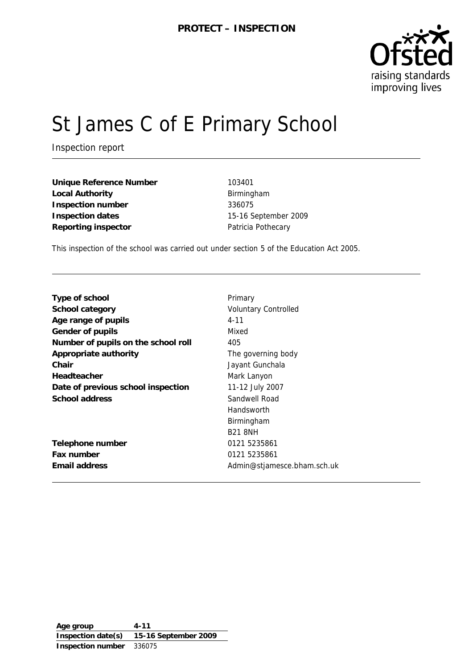

# St James C of E Primary School

Inspection report

**Unique Reference Number** 103401 Local Authority **Birmingham Inspection number** 336075 **Inspection dates** 15-16 September 2009 **Reporting inspector Patricia Pothecary** 

This inspection of the school was carried out under section 5 of the Education Act 2005.

| Type of school                      | Primary                     |
|-------------------------------------|-----------------------------|
| School category                     | <b>Voluntary Controlled</b> |
| Age range of pupils                 | $4 - 11$                    |
| Gender of pupils                    | Mixed                       |
| Number of pupils on the school roll | 405                         |
| Appropriate authority               | The governing body          |
| Chair                               | Jayant Gunchala             |
| Headteacher                         | Mark Lanyon                 |
| Date of previous school inspection  | 11-12 July 2007             |
| School address                      | Sandwell Road               |
|                                     | Handsworth                  |
|                                     | Birmingham                  |
|                                     | <b>B21 8NH</b>              |
| Telephone number                    | 0121 5235861                |
| Fax number                          | 0121 5235861                |
| Email address                       | Admin@stjamesce.bham.sch.uk |
|                                     |                             |

**Age group 4-11 Inspection date(s) 15-16 September 2009 Inspection number** 336075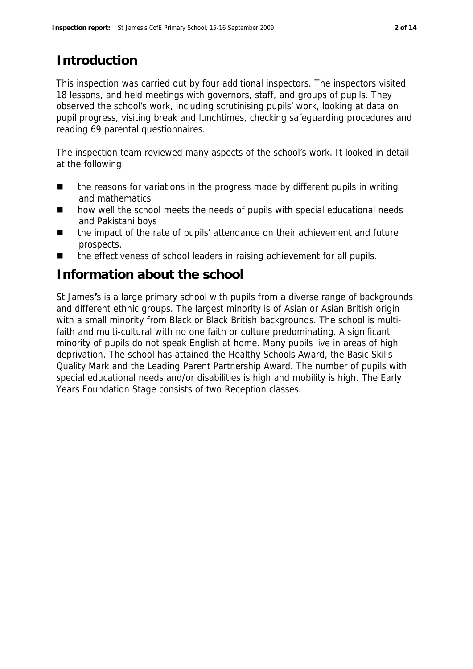# **Introduction**

This inspection was carried out by four additional inspectors. The inspectors visited 18 lessons, and held meetings with governors, staff, and groups of pupils. They observed the school's work, including scrutinising pupils' work, looking at data on pupil progress, visiting break and lunchtimes, checking safeguarding procedures and reading 69 parental questionnaires.

The inspection team reviewed many aspects of the school's work. It looked in detail at the following:

- the reasons for variations in the progress made by different pupils in writing and mathematics
- how well the school meets the needs of pupils with special educational needs and Pakistani boys
- the impact of the rate of pupils' attendance on their achievement and future prospects.
- the effectiveness of school leaders in raising achievement for all pupils.

# **Information about the school**

St James**'**s is a large primary school with pupils from a diverse range of backgrounds and different ethnic groups. The largest minority is of Asian or Asian British origin with a small minority from Black or Black British backgrounds. The school is multifaith and multi-cultural with no one faith or culture predominating. A significant minority of pupils do not speak English at home. Many pupils live in areas of high deprivation. The school has attained the Healthy Schools Award, the Basic Skills Quality Mark and the Leading Parent Partnership Award. The number of pupils with special educational needs and/or disabilities is high and mobility is high. The Early Years Foundation Stage consists of two Reception classes.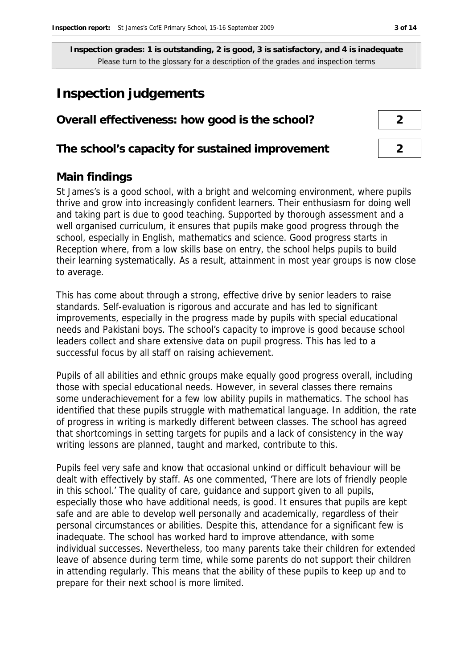# **Inspection judgements**

| Overall effectiveness: how good is the school?  |  |  |
|-------------------------------------------------|--|--|
|                                                 |  |  |
| The school's capacity for sustained improvement |  |  |

### **Main findings**

St James's is a good school, with a bright and welcoming environment, where pupils thrive and grow into increasingly confident learners. Their enthusiasm for doing well and taking part is due to good teaching. Supported by thorough assessment and a well organised curriculum, it ensures that pupils make good progress through the school, especially in English, mathematics and science. Good progress starts in Reception where, from a low skills base on entry, the school helps pupils to build their learning systematically. As a result, attainment in most year groups is now close to average.

This has come about through a strong, effective drive by senior leaders to raise standards. Self-evaluation is rigorous and accurate and has led to significant improvements, especially in the progress made by pupils with special educational needs and Pakistani boys. The school's capacity to improve is good because school leaders collect and share extensive data on pupil progress. This has led to a successful focus by all staff on raising achievement.

Pupils of all abilities and ethnic groups make equally good progress overall, including those with special educational needs. However, in several classes there remains some underachievement for a few low ability pupils in mathematics. The school has identified that these pupils struggle with mathematical language. In addition, the rate of progress in writing is markedly different between classes. The school has agreed that shortcomings in setting targets for pupils and a lack of consistency in the way writing lessons are planned, taught and marked, contribute to this.

Pupils feel very safe and know that occasional unkind or difficult behaviour will be dealt with effectively by staff. As one commented, 'There are lots of friendly people in this school.' The quality of care, guidance and support given to all pupils, especially those who have additional needs, is good. It ensures that pupils are kept safe and are able to develop well personally and academically, regardless of their personal circumstances or abilities. Despite this, attendance for a significant few is inadequate. The school has worked hard to improve attendance, with some individual successes. Nevertheless, too many parents take their children for extended leave of absence during term time, while some parents do not support their children in attending regularly. This means that the ability of these pupils to keep up and to prepare for their next school is more limited.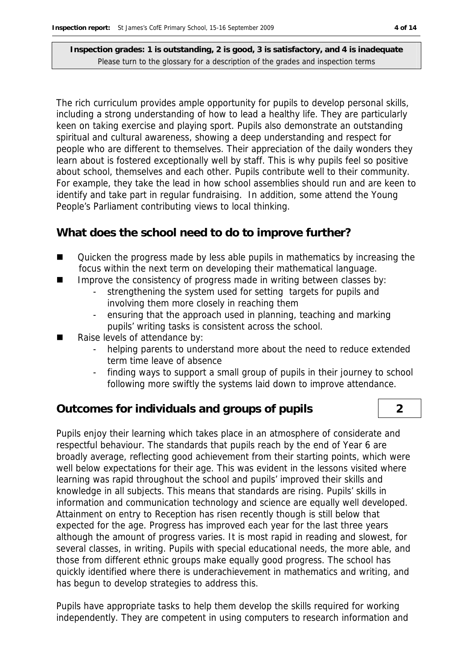The rich curriculum provides ample opportunity for pupils to develop personal skills, including a strong understanding of how to lead a healthy life. They are particularly keen on taking exercise and playing sport. Pupils also demonstrate an outstanding spiritual and cultural awareness, showing a deep understanding and respect for people who are different to themselves. Their appreciation of the daily wonders they learn about is fostered exceptionally well by staff. This is why pupils feel so positive about school, themselves and each other. Pupils contribute well to their community. For example, they take the lead in how school assemblies should run and are keen to identify and take part in regular fundraising. In addition, some attend the Young People's Parliament contributing views to local thinking.

### **What does the school need to do to improve further?**

- Cuicken the progress made by less able pupils in mathematics by increasing the focus within the next term on developing their mathematical language.
- $\blacksquare$  Improve the consistency of progress made in writing between classes by:
	- strengthening the system used for setting targets for pupils and involving them more closely in reaching them
	- ensuring that the approach used in planning, teaching and marking pupils' writing tasks is consistent across the school.
- Raise levels of attendance by:
	- helping parents to understand more about the need to reduce extended term time leave of absence
	- finding ways to support a small group of pupils in their journey to school following more swiftly the systems laid down to improve attendance.

### **Outcomes for individuals and groups of pupils 2**

Pupils enjoy their learning which takes place in an atmosphere of considerate and respectful behaviour. The standards that pupils reach by the end of Year 6 are broadly average, reflecting good achievement from their starting points, which were well below expectations for their age. This was evident in the lessons visited where learning was rapid throughout the school and pupils' improved their skills and knowledge in all subjects. This means that standards are rising. Pupils' skills in information and communication technology and science are equally well developed. Attainment on entry to Reception has risen recently though is still below that expected for the age. Progress has improved each year for the last three years although the amount of progress varies. It is most rapid in reading and slowest, for several classes, in writing. Pupils with special educational needs, the more able, and those from different ethnic groups make equally good progress. The school has quickly identified where there is underachievement in mathematics and writing, and has begun to develop strategies to address this.

Pupils have appropriate tasks to help them develop the skills required for working independently. They are competent in using computers to research information and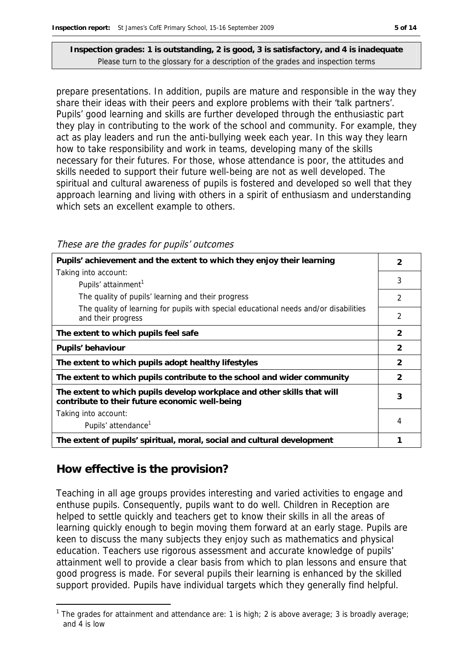prepare presentations. In addition, pupils are mature and responsible in the way they share their ideas with their peers and explore problems with their 'talk partners'. Pupils' good learning and skills are further developed through the enthusiastic part they play in contributing to the work of the school and community. For example, they act as play leaders and run the anti-bullying week each year. In this way they learn how to take responsibility and work in teams, developing many of the skills necessary for their futures. For those, whose attendance is poor, the attitudes and skills needed to support their future well-being are not as well developed. The spiritual and cultural awareness of pupils is fostered and developed so well that they approach learning and living with others in a spirit of enthusiasm and understanding which sets an excellent example to others.

| These are the grades for pupils' outcomes |  |
|-------------------------------------------|--|
|-------------------------------------------|--|

| Pupils' achievement and the extent to which they enjoy their learning                                                     | 2              |  |
|---------------------------------------------------------------------------------------------------------------------------|----------------|--|
| Taking into account:                                                                                                      |                |  |
| Pupils' attainment <sup>1</sup>                                                                                           | 3              |  |
| The quality of pupils' learning and their progress                                                                        | $\mathcal{P}$  |  |
| The quality of learning for pupils with special educational needs and/or disabilities<br>and their progress               | 2              |  |
| The extent to which pupils feel safe                                                                                      | $\mathcal{P}$  |  |
| Pupils' behaviour                                                                                                         | 2              |  |
| The extent to which pupils adopt healthy lifestyles                                                                       | $\overline{2}$ |  |
| The extent to which pupils contribute to the school and wider community                                                   | $\mathcal{P}$  |  |
| The extent to which pupils develop workplace and other skills that will<br>contribute to their future economic well-being |                |  |
| Taking into account:                                                                                                      |                |  |
| Pupils' attendance <sup>1</sup>                                                                                           | 4              |  |
| The extent of pupils' spiritual, moral, social and cultural development                                                   |                |  |

# **How effective is the provision?**

Teaching in all age groups provides interesting and varied activities to engage and enthuse pupils. Consequently, pupils want to do well. Children in Reception are helped to settle quickly and teachers get to know their skills in all the areas of learning quickly enough to begin moving them forward at an early stage. Pupils are keen to discuss the many subjects they enjoy such as mathematics and physical education. Teachers use rigorous assessment and accurate knowledge of pupils' attainment well to provide a clear basis from which to plan lessons and ensure that good progress is made. For several pupils their learning is enhanced by the skilled support provided. Pupils have individual targets which they generally find helpful.

<sup>-</sup><sup>1</sup> The grades for attainment and attendance are: 1 is high; 2 is above average; 3 is broadly average; and 4 is low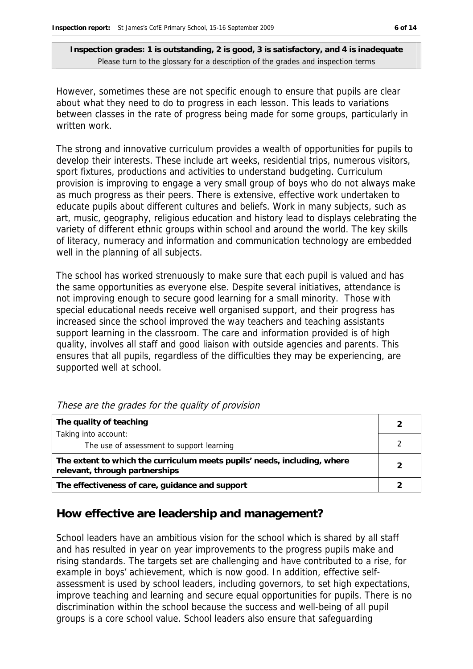However, sometimes these are not specific enough to ensure that pupils are clear about what they need to do to progress in each lesson. This leads to variations between classes in the rate of progress being made for some groups, particularly in written work.

The strong and innovative curriculum provides a wealth of opportunities for pupils to develop their interests. These include art weeks, residential trips, numerous visitors, sport fixtures, productions and activities to understand budgeting. Curriculum provision is improving to engage a very small group of boys who do not always make as much progress as their peers. There is extensive, effective work undertaken to educate pupils about different cultures and beliefs. Work in many subjects, such as art, music, geography, religious education and history lead to displays celebrating the variety of different ethnic groups within school and around the world. The key skills of literacy, numeracy and information and communication technology are embedded well in the planning of all subjects.

The school has worked strenuously to make sure that each pupil is valued and has the same opportunities as everyone else. Despite several initiatives, attendance is not improving enough to secure good learning for a small minority. Those with special educational needs receive well organised support, and their progress has increased since the school improved the way teachers and teaching assistants support learning in the classroom. The care and information provided is of high quality, involves all staff and good liaison with outside agencies and parents. This ensures that all pupils, regardless of the difficulties they may be experiencing, are supported well at school.

| The quality of teaching                                                                                    |   |
|------------------------------------------------------------------------------------------------------------|---|
| Taking into account:                                                                                       |   |
| The use of assessment to support learning                                                                  |   |
| The extent to which the curriculum meets pupils' needs, including, where<br>relevant, through partnerships | ⌒ |
| The effectiveness of care, guidance and support                                                            |   |

|  | These are the grades for the quality of provision |  |  |  |
|--|---------------------------------------------------|--|--|--|
|  |                                                   |  |  |  |

#### **How effective are leadership and management?**

School leaders have an ambitious vision for the school which is shared by all staff and has resulted in year on year improvements to the progress pupils make and rising standards. The targets set are challenging and have contributed to a rise, for example in boys' achievement, which is now good. In addition, effective selfassessment is used by school leaders, including governors, to set high expectations, improve teaching and learning and secure equal opportunities for pupils. There is no discrimination within the school because the success and well-being of all pupil groups is a core school value. School leaders also ensure that safeguarding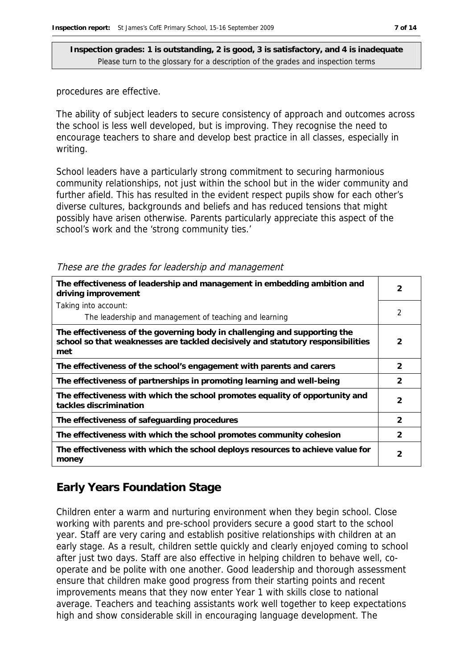procedures are effective.

The ability of subject leaders to secure consistency of approach and outcomes across the school is less well developed, but is improving. They recognise the need to encourage teachers to share and develop best practice in all classes, especially in writing.

School leaders have a particularly strong commitment to securing harmonious community relationships, not just within the school but in the wider community and further afield. This has resulted in the evident respect pupils show for each other's diverse cultures, backgrounds and beliefs and has reduced tensions that might possibly have arisen otherwise. Parents particularly appreciate this aspect of the school's work and the 'strong community ties.'

| The effectiveness of leadership and management in embedding ambition and<br>driving improvement                                                                     |                |
|---------------------------------------------------------------------------------------------------------------------------------------------------------------------|----------------|
| Taking into account:                                                                                                                                                |                |
| The leadership and management of teaching and learning                                                                                                              | 2              |
| The effectiveness of the governing body in challenging and supporting the<br>school so that weaknesses are tackled decisively and statutory responsibilities<br>met | 2              |
| The effectiveness of the school's engagement with parents and carers                                                                                                | $\mathcal{P}$  |
| The effectiveness of partnerships in promoting learning and well-being                                                                                              | 2              |
| The effectiveness with which the school promotes equality of opportunity and<br>tackles discrimination                                                              | $\overline{2}$ |
| The effectiveness of safeguarding procedures                                                                                                                        | $\mathcal{P}$  |
| The effectiveness with which the school promotes community cohesion                                                                                                 | $\mathcal{P}$  |
| The effectiveness with which the school deploys resources to achieve value for<br>money                                                                             | 2              |

#### These are the grades for leadership and management

## **Early Years Foundation Stage**

Children enter a warm and nurturing environment when they begin school. Close working with parents and pre-school providers secure a good start to the school year. Staff are very caring and establish positive relationships with children at an early stage. As a result, children settle quickly and clearly enjoyed coming to school after just two days. Staff are also effective in helping children to behave well, cooperate and be polite with one another. Good leadership and thorough assessment ensure that children make good progress from their starting points and recent improvements means that they now enter Year 1 with skills close to national average. Teachers and teaching assistants work well together to keep expectations high and show considerable skill in encouraging language development. The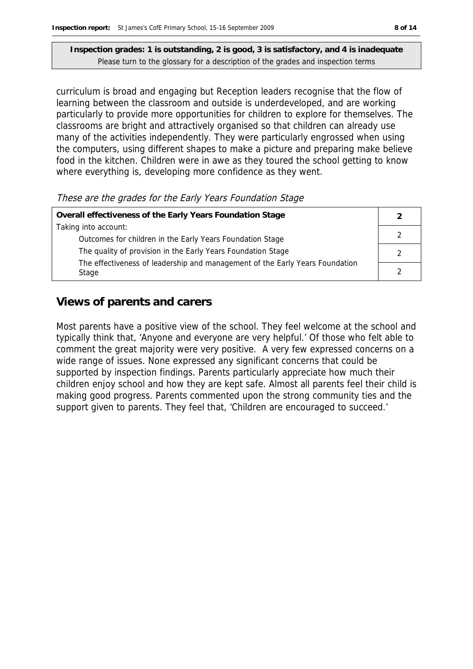curriculum is broad and engaging but Reception leaders recognise that the flow of learning between the classroom and outside is underdeveloped, and are working particularly to provide more opportunities for children to explore for themselves. The classrooms are bright and attractively organised so that children can already use many of the activities independently. They were particularly engrossed when using the computers, using different shapes to make a picture and preparing make believe food in the kitchen. Children were in awe as they toured the school getting to know where everything is, developing more confidence as they went.

These are the grades for the Early Years Foundation Stage

| Overall effectiveness of the Early Years Foundation Stage                    |  |
|------------------------------------------------------------------------------|--|
| Taking into account:                                                         |  |
| Outcomes for children in the Early Years Foundation Stage                    |  |
| The quality of provision in the Early Years Foundation Stage                 |  |
| The effectiveness of leadership and management of the Early Years Foundation |  |
| Stage                                                                        |  |

### **Views of parents and carers**

Most parents have a positive view of the school. They feel welcome at the school and typically think that, 'Anyone and everyone are very helpful.' Of those who felt able to comment the great majority were very positive. A very few expressed concerns on a wide range of issues. None expressed any significant concerns that could be supported by inspection findings. Parents particularly appreciate how much their children enjoy school and how they are kept safe. Almost all parents feel their child is making good progress. Parents commented upon the strong community ties and the support given to parents. They feel that, 'Children are encouraged to succeed.'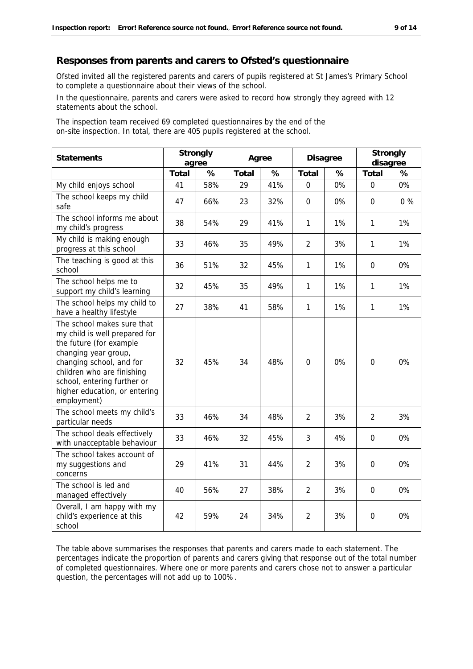#### **Responses from parents and carers to Ofsted's questionnaire**

Ofsted invited all the registered parents and carers of pupils registered at St James's Primary School to complete a questionnaire about their views of the school.

In the questionnaire, parents and carers were asked to record how strongly they agreed with 12 statements about the school.

The inspection team received 69 completed questionnaires by the end of the on-site inspection. In total, there are 405 pupils registered at the school.

| Statements                                                                                                                                                                                                                                              | Strongly<br>agree |     | Agree |      | Disagree       |    | Strongly<br>disagree |       |
|---------------------------------------------------------------------------------------------------------------------------------------------------------------------------------------------------------------------------------------------------------|-------------------|-----|-------|------|----------------|----|----------------------|-------|
|                                                                                                                                                                                                                                                         | Total             | %   | Total | $\%$ | Total          | %  | Total                | %     |
| My child enjoys school                                                                                                                                                                                                                                  | 41                | 58% | 29    | 41%  | $\mathbf 0$    | 0% | $\mathbf 0$          | 0%    |
| The school keeps my child<br>safe                                                                                                                                                                                                                       | 47                | 66% | 23    | 32%  | $\mathbf 0$    | 0% | $\mathbf{0}$         | $0\%$ |
| The school informs me about<br>my child's progress                                                                                                                                                                                                      | 38                | 54% | 29    | 41%  | 1              | 1% | $\mathbf{1}$         | 1%    |
| My child is making enough<br>progress at this school                                                                                                                                                                                                    | 33                | 46% | 35    | 49%  | $\overline{2}$ | 3% | 1                    | 1%    |
| The teaching is good at this<br>school                                                                                                                                                                                                                  | 36                | 51% | 32    | 45%  | $\mathbf{1}$   | 1% | $\mathbf{0}$         | 0%    |
| The school helps me to<br>support my child's learning                                                                                                                                                                                                   | 32                | 45% | 35    | 49%  | 1              | 1% | 1                    | 1%    |
| The school helps my child to<br>have a healthy lifestyle                                                                                                                                                                                                | 27                | 38% | 41    | 58%  | $\mathbf{1}$   | 1% | $\mathbf{1}$         | 1%    |
| The school makes sure that<br>my child is well prepared for<br>the future (for example<br>changing year group,<br>changing school, and for<br>children who are finishing<br>school, entering further or<br>higher education, or entering<br>employment) | 32                | 45% | 34    | 48%  | $\mathbf 0$    | 0% | $\mathbf{0}$         | 0%    |
| The school meets my child's<br>particular needs                                                                                                                                                                                                         | 33                | 46% | 34    | 48%  | 2              | 3% | $\overline{2}$       | 3%    |
| The school deals effectively<br>with unacceptable behaviour                                                                                                                                                                                             | 33                | 46% | 32    | 45%  | 3              | 4% | $\Omega$             | 0%    |
| The school takes account of<br>my suggestions and<br>concerns                                                                                                                                                                                           | 29                | 41% | 31    | 44%  | $\overline{2}$ | 3% | $\Omega$             | 0%    |
| The school is led and<br>managed effectively                                                                                                                                                                                                            | 40                | 56% | 27    | 38%  | $\overline{2}$ | 3% | $\mathbf{0}$         | 0%    |
| Overall, I am happy with my<br>child's experience at this<br>school                                                                                                                                                                                     | 42                | 59% | 24    | 34%  | $\overline{2}$ | 3% | $\boldsymbol{0}$     | 0%    |

The table above summarises the responses that parents and carers made to each statement. The percentages indicate the proportion of parents and carers giving that response out of the total number of completed questionnaires. Where one or more parents and carers chose not to answer a particular question, the percentages will not add up to 100%.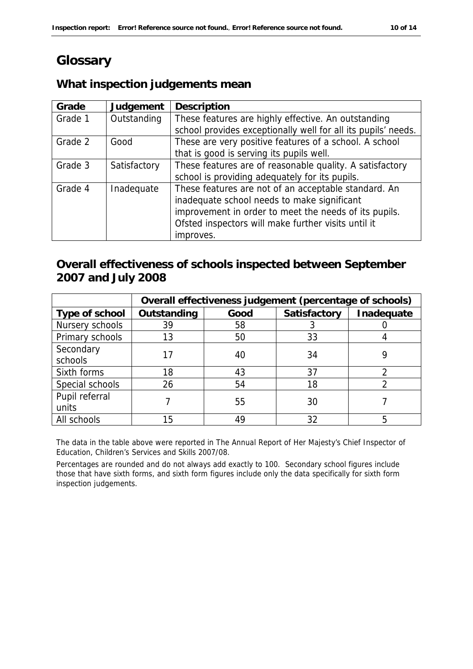# **Glossary**

# **What inspection judgements mean**

| Grade   | Judgement    | Description                                                   |
|---------|--------------|---------------------------------------------------------------|
| Grade 1 | Outstanding  | These features are highly effective. An outstanding           |
|         |              | school provides exceptionally well for all its pupils' needs. |
| Grade 2 | Good         | These are very positive features of a school. A school        |
|         |              | that is good is serving its pupils well.                      |
| Grade 3 | Satisfactory | These features are of reasonable quality. A satisfactory      |
|         |              | school is providing adequately for its pupils.                |
| Grade 4 | Inadequate   | These features are not of an acceptable standard. An          |
|         |              | inadequate school needs to make significant                   |
|         |              | improvement in order to meet the needs of its pupils.         |
|         |              | Ofsted inspectors will make further visits until it           |
|         |              | improves.                                                     |

# **Overall effectiveness of schools inspected between September 2007 and July 2008**

|                 | Overall effectiveness judgement (percentage of schools) |      |              |            |  |
|-----------------|---------------------------------------------------------|------|--------------|------------|--|
| Type of school  | Outstanding                                             | Good | Satisfactory | Inadequate |  |
| Nursery schools | 39                                                      | 58   |              |            |  |
| Primary schools | 13                                                      | 50   | 33           |            |  |
| Secondary       |                                                         | 40   | 34           |            |  |
| schools         |                                                         |      |              |            |  |
| Sixth forms     | 18                                                      | 43   | 37           |            |  |
| Special schools | 26                                                      | 54   | 18           |            |  |
| Pupil referral  |                                                         |      | 30           |            |  |
| units           |                                                         | 55   |              |            |  |
| All schools     | 15                                                      | 49   | 32           |            |  |

The data in the table above were reported in The Annual Report of Her Majesty's Chief Inspector of Education, Children's Services and Skills 2007/08.

Percentages are rounded and do not always add exactly to 100. Secondary school figures include those that have sixth forms, and sixth form figures include only the data specifically for sixth form inspection judgements.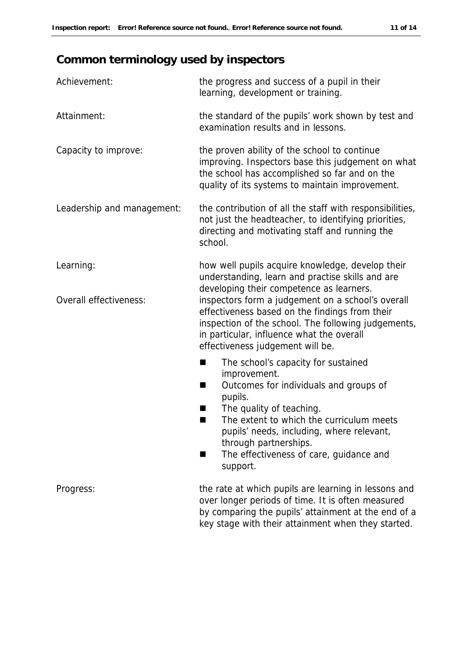# **Common terminology used by inspectors**

| Achievement:               | the progress and success of a pupil in their<br>learning, development or training.                                                                                                                                                          |
|----------------------------|---------------------------------------------------------------------------------------------------------------------------------------------------------------------------------------------------------------------------------------------|
| Attainment:                | the standard of the pupils' work shown by test and<br>examination results and in lessons.                                                                                                                                                   |
| Capacity to improve:       | the proven ability of the school to continue<br>improving. Inspectors base this judgement on what<br>the school has accomplished so far and on the<br>quality of its systems to maintain improvement.                                       |
| Leadership and management: | the contribution of all the staff with responsibilities,<br>not just the headteacher, to identifying priorities,<br>directing and motivating staff and running the<br>school.                                                               |
| Learning:                  | how well pupils acquire knowledge, develop their<br>understanding, learn and practise skills and are<br>developing their competence as learners.                                                                                            |
| Overall effectiveness:     | inspectors form a judgement on a school's overall<br>effectiveness based on the findings from their<br>inspection of the school. The following judgements,<br>in particular, influence what the overall<br>effectiveness judgement will be. |
|                            | The school's capacity for sustained<br>■                                                                                                                                                                                                    |
|                            | improvement.<br>Outcomes for individuals and groups of<br>pupils.                                                                                                                                                                           |
|                            | The quality of teaching.<br>H<br>The extent to which the curriculum meets<br>▄<br>pupils' needs, including, where relevant,<br>through partnerships.                                                                                        |
|                            | The effectiveness of care, guidance and<br>support.                                                                                                                                                                                         |
| Progress:                  | the rate at which pupils are learning in lessons and<br>over longer periods of time. It is often measured<br>by comparing the pupils' attainment at the end of a                                                                            |

key stage with their attainment when they started.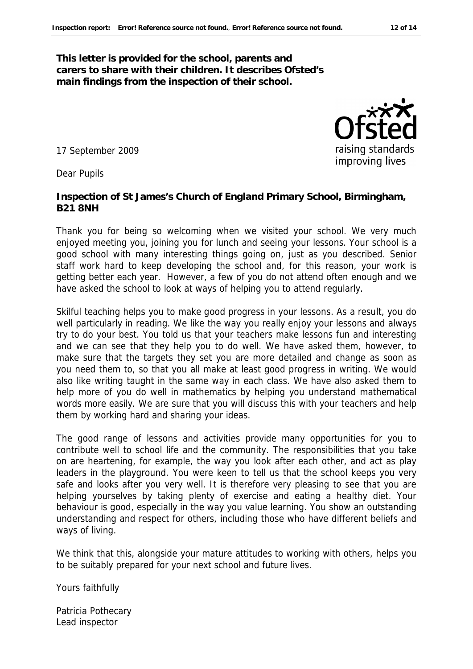**This letter is provided for the school, parents and carers to share with their children. It describes Ofsted's main findings from the inspection of their school.**

17 September 2009

Dear Pupils

**Inspection of St James's Church of England Primary School, Birmingham, B21 8NH**

Thank you for being so welcoming when we visited your school. We very much enjoyed meeting you, joining you for lunch and seeing your lessons. Your school is a good school with many interesting things going on, just as you described. Senior staff work hard to keep developing the school and, for this reason, your work is getting better each year. However, a few of you do not attend often enough and we have asked the school to look at ways of helping you to attend regularly.

Skilful teaching helps you to make good progress in your lessons. As a result, you do well particularly in reading. We like the way you really enjoy your lessons and always try to do your best. You told us that your teachers make lessons fun and interesting and we can see that they help you to do well. We have asked them, however, to make sure that the targets they set you are more detailed and change as soon as you need them to, so that you all make at least good progress in writing. We would also like writing taught in the same way in each class. We have also asked them to help more of you do well in mathematics by helping you understand mathematical words more easily. We are sure that you will discuss this with your teachers and help them by working hard and sharing your ideas.

The good range of lessons and activities provide many opportunities for you to contribute well to school life and the community. The responsibilities that you take on are heartening, for example, the way you look after each other, and act as play leaders in the playground. You were keen to tell us that the school keeps you very safe and looks after you very well. It is therefore very pleasing to see that you are helping yourselves by taking plenty of exercise and eating a healthy diet. Your behaviour is good, especially in the way you value learning. You show an outstanding understanding and respect for others, including those who have different beliefs and ways of living.

We think that this, alongside your mature attitudes to working with others, helps you to be suitably prepared for your next school and future lives.

Yours faithfully

Patricia Pothecary Lead inspector